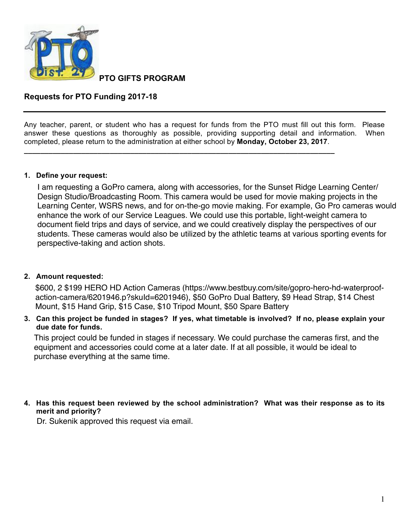

**PTO GIFTS PROGRAM** 

# **Requests for PTO Funding 2017-18**

Any teacher, parent, or student who has a request for funds from the PTO must fill out this form. Please answer these questions as thoroughly as possible, providing supporting detail and information. When completed, please return to the administration at either school by **Monday, October 23, 2017**.

**\_\_\_\_\_\_\_\_\_\_\_\_\_\_\_\_\_\_\_\_\_\_\_\_\_\_\_\_\_\_\_\_\_\_\_\_\_\_\_\_\_\_\_\_\_\_\_\_\_\_\_\_\_\_\_\_\_\_\_\_\_\_\_\_\_\_\_\_\_\_\_\_\_\_\_\_**

## **1. Define your request:**

I am requesting a GoPro camera, along with accessories, for the Sunset Ridge Learning Center/ Design Studio/Broadcasting Room. This camera would be used for movie making projects in the Learning Center, WSRS news, and for on-the-go movie making. For example, Go Pro cameras would enhance the work of our Service Leagues. We could use this portable, light-weight camera to document field trips and days of service, and we could creatively display the perspectives of our students. These cameras would also be utilized by the athletic teams at various sporting events for perspective-taking and action shots.

## **2.** Amount requested:

\$600, 2 \$199 HERO HD Action Cameras (https://www.bestbuy.com/site/gopro-hero-hd-waterproofaction-camera/6201946.p?skuId=6201946), \$50 GoPro Dual Battery, \$9 Head Strap, \$14 Chest Mount, \$15 Hand Grip, \$15 Case, \$10 Tripod Mount, \$50 Spare Battery

3. Can this project be funded in stages? If yes, what timetable is involved? If no, please explain your due date for funds.

This project could be funded in stages if necessary. We could purchase the cameras first, and the equipment and accessories could come at a later date. If at all possible, it would be ideal to purchase everything at the same time.

## 4. Has this request been reviewed by the school administration? What was their response as to its merit and priority?

Dr. Sukenik approved this request via email.